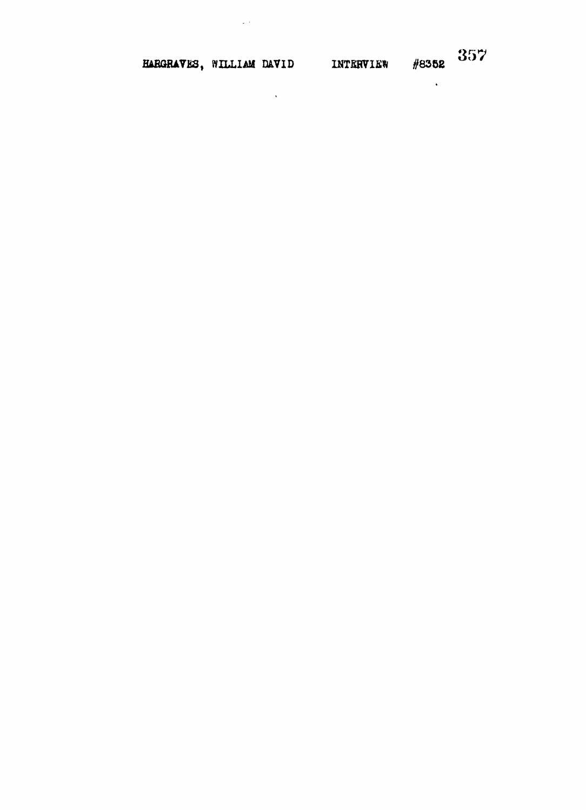HARGRAVES, WILLIAM DAVID INTERVIEW #8352 357

 $\mathcal{L}^{\text{max}}_{\text{max}}$ 

 $\label{eq:2} \frac{1}{\sqrt{2}}\int_{\mathbb{R}^3}\frac{1}{\sqrt{2}}\left(\frac{1}{\sqrt{2}}\right)^2\frac{1}{\sqrt{2}}\left(\frac{1}{\sqrt{2}}\right)^2\frac{1}{\sqrt{2}}\left(\frac{1}{\sqrt{2}}\right)^2.$ 

 $\mathcal{L}^{\text{max}}_{\text{max}}$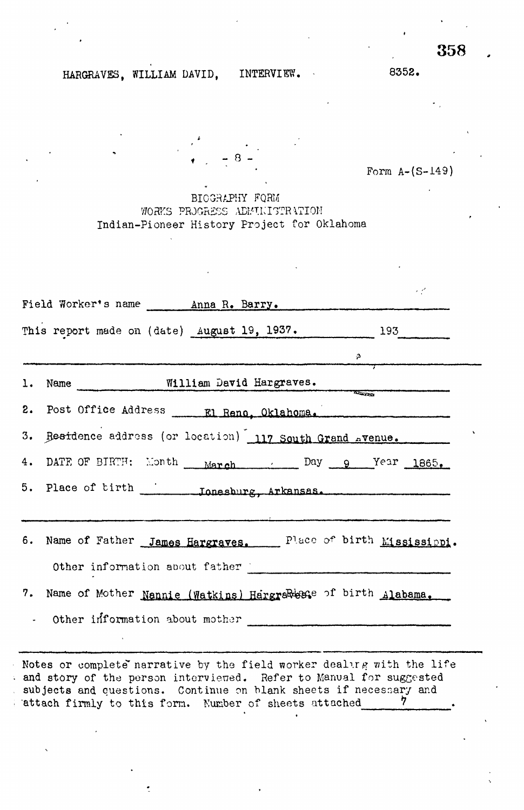# HARGRAVES, WILLIAM DAVID, INTERVIEW. 8352.

Form A-(S-149)

BIOGRAPHY FQRM WORKS PROGRESS ADMINISTRATION Indian-Pioneer History Project for Oklahoma

 $- 8 -$ 

| Field Worker's name ________ Anna R. Barry.                      |  |
|------------------------------------------------------------------|--|
| This report made on (date) August 19, 1937. 193                  |  |
| $\frac{3}{2}$                                                    |  |
| 1. Name <b>William David Hargraves.</b>                          |  |
|                                                                  |  |
| 3. Besidence address (or location) 117 South Grand Avenue.       |  |
| 4. DATE OF BIRTH: Month March Day 9 Year 1865.                   |  |
|                                                                  |  |
|                                                                  |  |
| 6. Name of Father James Hargraves. Place of birth Mississippi.   |  |
| Other information about father                                   |  |
| 7. Name of Mother Nannie (Watkins) Hargrawesse of birth Alabama. |  |
| - Other information about mother                                 |  |
|                                                                  |  |

Notes or complete narrative by the field worker dealing with the life and story of the person interviewed. Refer to Manual for suggested subjects and questions. Continue on blank sheets if necessary and state firmly to this form. Number of sheets attached  $\frac{7}{4}$ attach firmly to this form. Number of sheets attached

358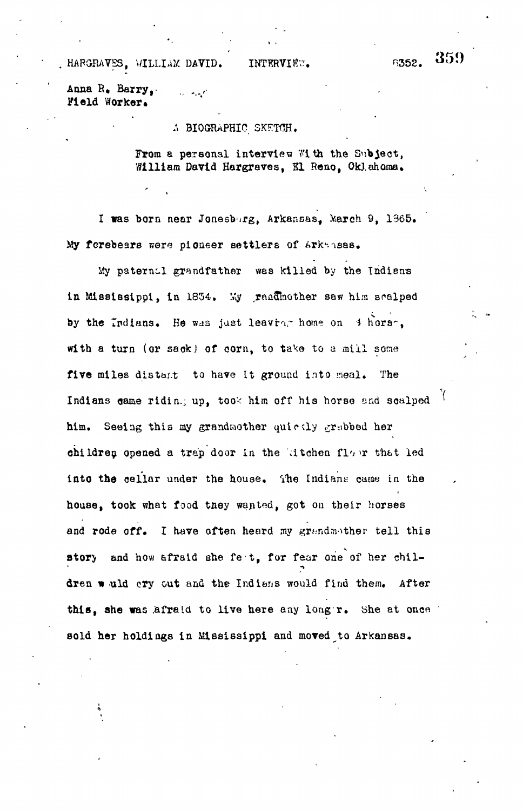HAFGRAVES, WILLIAM DAVID. INTERVIEW. 8352.

Anna R» Barry, . ",• Field Worker.

#### A BIOGRAPHIC SKETCH.

From a personal interview With the Subject, William David Hargraves, El Reno, Oklahoma.

I was born near Jonesburg, Arkansas, March 9, 1365. My forebears were pioneer settlers of Arkansas.

My paternal grandfather was killed by the Indians in Mississippi, in 1834. My raadhother saw him scalped by the Indians. He was just leaving home on  $\beta$  hors. with a turn (or saok) of corn, to take to a mill some five miles distar.t to have tt ground into meal. The Indians game ridin.; up, took him off his horse and scalped him. Seeing this my grandmother quirtly grabbed her children opened a trap door in the kitchen floor that led into the cellar under the house. The Indians came in the house, took what food taey wapted, got on their horses and rode off. I have often heard my grandmother tell this story and how afraid she fe t, for fear one of her children would cry out and the Indians would find them. After this, she was afraid to live here any longr. She at once " sold her holdings in Mississippi and moved to Arkansas.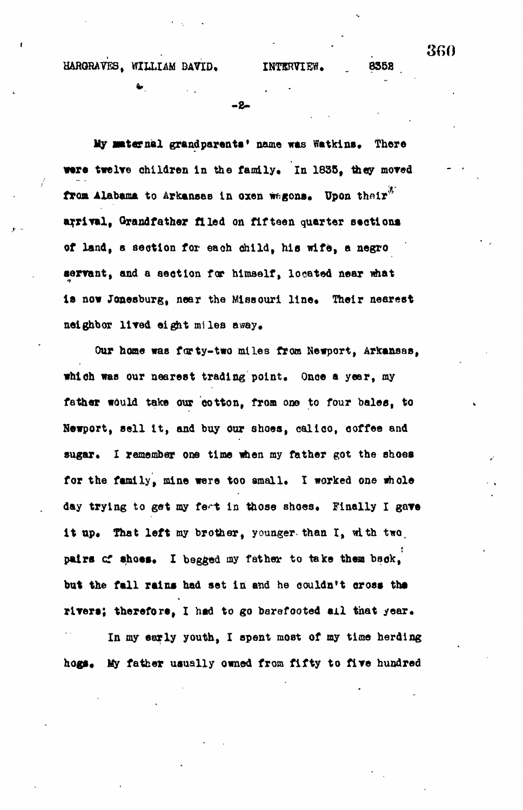HARGRAVES, WILLIAM DAVID, INTERVIEW. 8358

**-0-**

**My Maternal grandparents\* name was Watkins. There were twelve children In the family, in 1835, they moved** from Alabama to Arkansas in oxen wagons. Upon their<sup>3</sup> **arrival, Grandfather filed on fifteen quarter sections of land, s section for each child, his wife, a negro servant, and a section for himself, located near what** is now Jonesburg, near the Missouri line. Their nearest **neighbor lived eight miles a say.**

**Our home was forty-two mile3 from Newport, Arkansas, which was our nearest trading point. Once a year, my fattier would take our cotton, from one to four bales, to Newport, sell It, and buy our shoes, calico, coffee and** sugar. I remember one time when my father got the shoes **for the family, mine were too small, I worked one whole** day trying to get my feet in those shoes. Finally I gave it up. That left my brother, younger, than I, with two, **pairs cf shoes, I begged my father to take thea back, but the fall rains had set In and he couldn't oross ths rivers; therefore, I hsd to go barefooted ail that year.**

**In my early youth, I spent most of my time herding** hogs. My father usually owned from fifty to five hundred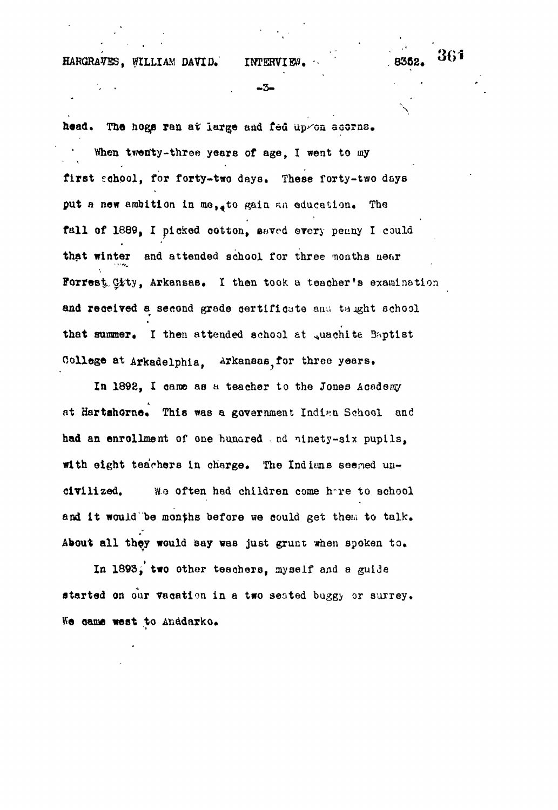HARGRAVES, WILLIAM DAVID. INTERVIEW

-3-

head. The hogs ran at large and fed up/on acorns. When twenty-three years of age. I went to my first school, for forty-two days. These forty-two days put a new ambition in me, to gain an education. The fall of 1889, I picked cotton, saved every penny I could that winter and attended school for three months near Forrest City, Arkansas. I then took a teacher's examination and received a second grade certificate and taught school that summer. I then attended school at quachite Baptist

College at Arkadelphia. Arkansas for three years.

In 1892, I came as a teacher to the Jones Academy at Hartshorne. This was a government Indian School and had an enrollment of one hunared . nd ninety-six pupils, with eight teachers in charge. The Indians seemed uncivilized. Wo often had children come h~re to school and it would be months before we could get them to talk. About all they would say was just grunt when spoken to.

In 1893,' two other teachers, myself and a guide started on our vacation in a two seated buggy or surrey. We came west to Anddarko.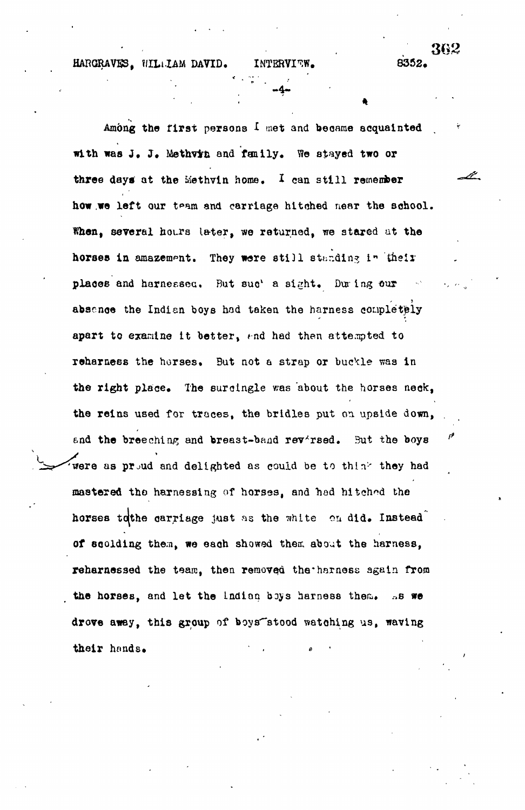HARGRAVES. WILLIAM DAVID.

Among the first persons I met and became acquainted with was J. J. Methvin and family. We stayed two or three days at the Methyin home. I can still remember how we left our team and carriage hitched mear the school. When, several hours later, we returned, we stared at the horses in amazement. They were still standing in their places and harnessed. But suc's sight. During our absence the Indian boys had taken the harness completely apart to examine it better, and had then attempted to reharness the horses. But not a strap or buckle was in the right place. The surcingle was about the horses neck, the reins used for traces, the bridles put on upside down, and the breeching and breast-band rev'rsed. But the boys were as proud and delighted as could be to think they had mastered the harnessing of horses, and hed hitched the horses to the carriage just as the white on did. Instead of scolding them, we each showed them about the harness, reharnessed the team, then removed the harness again from the horses, and let the Indian boys harness them. As we drove away, this group of boys stood watching us, waving their hands.

8352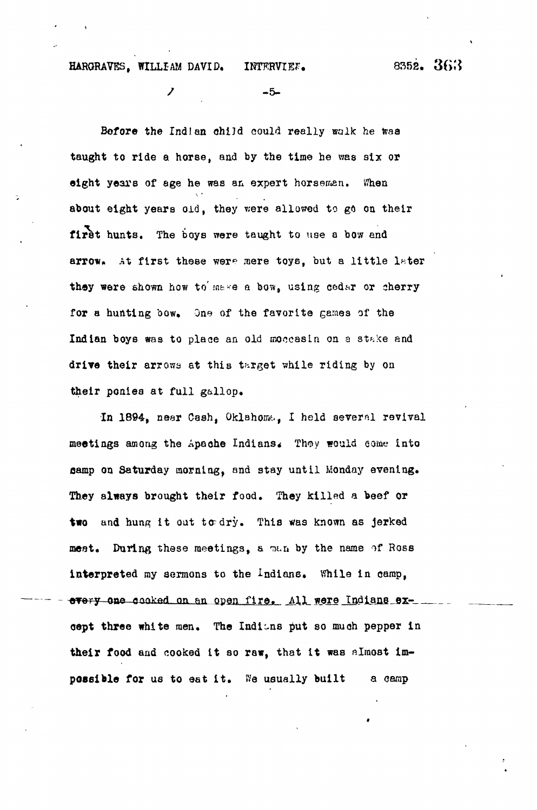## HARGRAVES, WILLIAM DAVID. INTERVIEW. 8352. 363

/ -5-

Before the Indian child could really walk he was taught to ride a horse, and by the time he was six or eight years of age he was an expert horseman. When about eight years old, they were allowed to go on their first hunts. The boys were taught to use a bow and arrow. At first these were mere toys, but a little later they were shown how to make a bow, using cedar or sherry for a hunting bow. One of the favorite games of the Indian boys was to place an old moccasin on a stake and drive their arrows at this target while riding by on their ponies at full gallop.

In 1894, near Cash, Oklahoma, I held several revival meetings among the Apache Indians. They would come into gamp on Saturday morning, and stay until Monday evening. They always brought their food. They killed a beef or two and hung it out to dry. This was known as jerked meat. During these meetings, a man by the name of Ross interpreted my aermons to the Indians. While in camp, every one cooked on an open fire. All were Indians exoept three white men. The Indians put so much pepper in their food and cooked it so raw, that it was almost impossible for us to eat it. We usually built a camp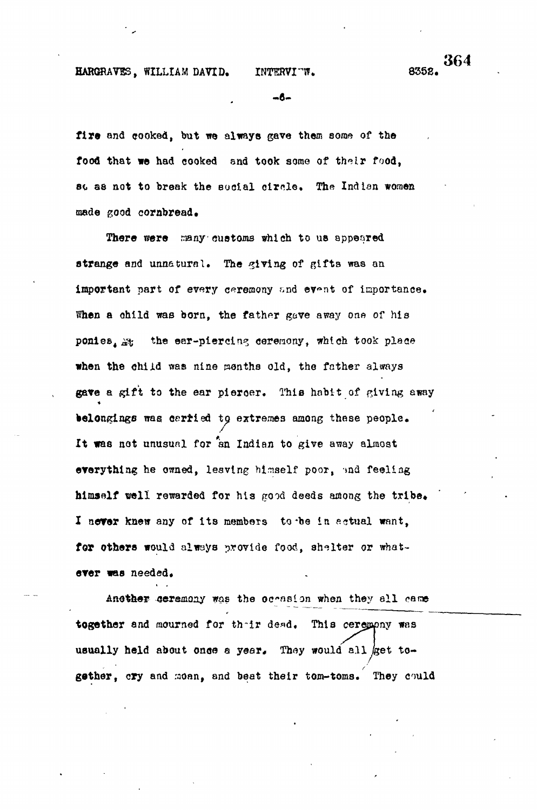### HARGRAVES, WILLIAM DAVID.

### INTERVI "W.

364 8352.

 $mB -$ 

fire and cooked, but we always gave them some of the food that we had cooked and took some of their food. st as not to break the sucial circle. The Indian women made good cornbread.

There were many customs which to us appeared strange and unnatural. The giving of gifts was an important part of every ceremony and event of importance. When a child was born, the father gave away one of his ponies, A: the ear-piercing ceremony, which took place when the child was nine menths old, the father always gave a gift to the ear piercer. This habit of giving away belongings was carried to extremes among these people. It was not unusual for an Indian to give away almost everything he owned, leaving himself poor, and feeling himself well rewarded for his good deeds among the tribe. I never knew any of its members to be in actual want. for others would always provide food, shelter or whatever was needed.

Another ceremony was the occasion when they all came together and mourned for their dead. This ceremony was usually held about once a year. They would all get together, cry and moan, and beat their tom-toms. They could